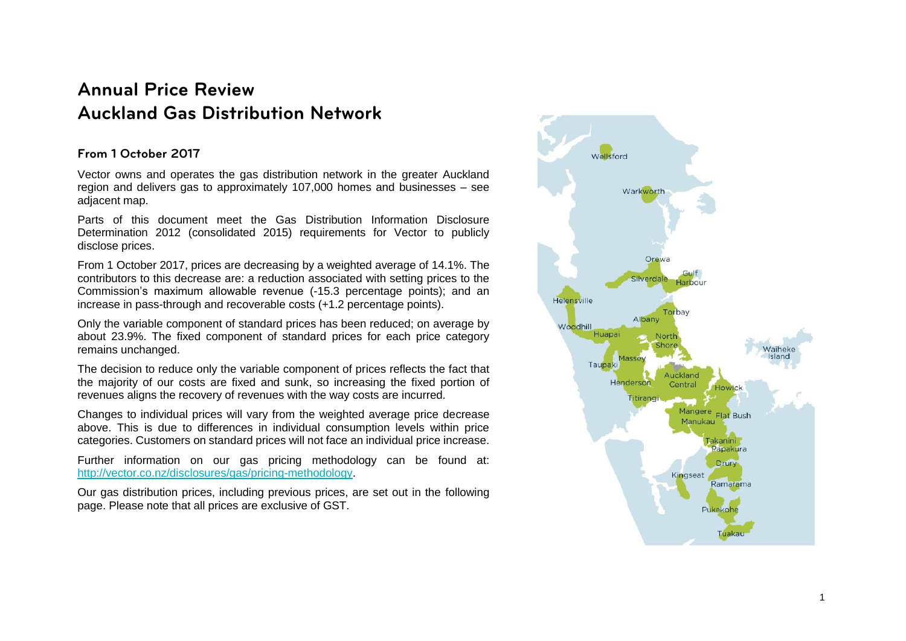# **Annual Price Review Auckland Gas Distribution Network**

# **From 1 October 2017**

Vector owns and operates the gas distribution network in the greater Auckland region and delivers gas to approximately 107,000 homes and businesses – see adjacent map.

Parts of this document meet the Gas Distribution Information Disclosure Determination 2012 (consolidated 2015) requirements for Vector to publicly disclose prices.

From 1 October 2017, prices are decreasing by a weighted average of 14.1%. The contributors to this decrease are: a reduction associated with setting prices to the Commission's maximum allowable revenue (-15.3 percentage points); and an increase in pass-through and recoverable costs (+1.2 percentage points).

Only the variable component of standard prices has been reduced; on average by about 23.9%. The fixed component of standard prices for each price category remains unchanged.

The decision to reduce only the variable component of prices reflects the fact that the majority of our costs are fixed and sunk, so increasing the fixed portion of revenues aligns the recovery of revenues with the way costs are incurred.

Changes to individual prices will vary from the weighted average price decrease above. This is due to differences in individual consumption levels within price categories. Customers on standard prices will not face an individual price increase.

Further information on our gas pricing methodology can be found at: [http://vector.co.nz/disclosures/gas/pricing-methodology.](http://vector.co.nz/disclosures/gas/pricing-methodology)

Our gas distribution prices, including previous prices, are set out in the following page. Please note that all prices are exclusive of GST.